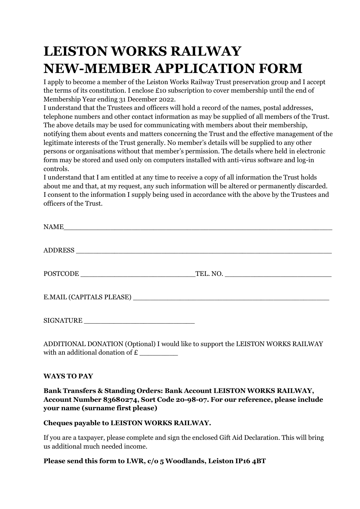# **LEISTON WORKS RAILWAY NEW-MEMBER APPLICATION FORM**

I apply to become a member of the Leiston Works Railway Trust preservation group and I accept the terms of its constitution. I enclose £10 subscription to cover membership until the end of Membership Year ending 31 December 2022.

I understand that the Trustees and officers will hold a record of the names, postal addresses, telephone numbers and other contact information as may be supplied of all members of the Trust. The above details may be used for communicating with members about their membership, notifying them about events and matters concerning the Trust and the effective management of the legitimate interests of the Trust generally. No member's details will be supplied to any other persons or organisations without that member's permission. The details where held in electronic form may be stored and used only on computers installed with anti-virus software and log-in controls.

I understand that I am entitled at any time to receive a copy of all information the Trust holds about me and that, at my request, any such information will be altered or permanently discarded. I consent to the information I supply being used in accordance with the above by the Trustees and officers of the Trust.

ADDITIONAL DONATION (Optional) I would like to support the LEISTON WORKS RAILWAY with an additional donation of  $\boldsymbol{\epsilon}$ 

#### **WAYS TO PAY**

### **Bank Transfers & Standing Orders: Bank Account LEISTON WORKS RAILWAY, Account Number 83680274, Sort Code 20-98-07. For our reference, please include your name (surname first please)**

#### **Cheques payable to LEISTON WORKS RAILWAY.**

If you are a taxpayer, please complete and sign the enclosed Gift Aid Declaration. This will bring us additional much needed income.

#### **Please send this form to LWR, c/o 5 Woodlands, Leiston IP16 4BT**